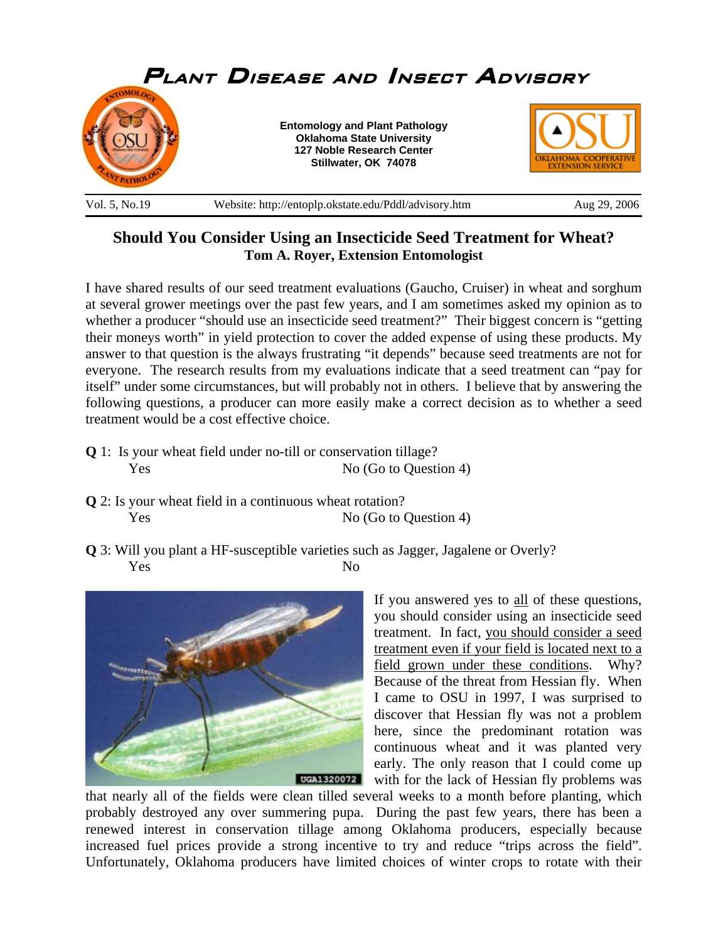

## **Should You Consider Using an Insecticide Seed Treatment for Wheat? Tom A. Royer, Extension Entomologist**

I have shared results of our seed treatment evaluations (Gaucho, Cruiser) in wheat and sorghum at several grower meetings over the past few years, and I am sometimes asked my opinion as to whether a producer "should use an insecticide seed treatment?" Their biggest concern is "getting their moneys worth" in yield protection to cover the added expense of using these products. My answer to that question is the always frustrating "it depends" because seed treatments are not for everyone. The research results from my evaluations indicate that a seed treatment can "pay for itself" under some circumstances, but will probably not in others. I believe that by answering the following questions, a producer can more easily make a correct decision as to whether a seed treatment would be a cost effective choice.

- **Q** 1: Is your wheat field under no-till or conservation tillage? Yes No (Go to Question 4)
- **Q** 2: Is your wheat field in a continuous wheat rotation? Yes No (Go to Question 4)
- **Q** 3: Will you plant a HF-susceptible varieties such as Jagger, Jagalene or Overly? Yes No



If you answered yes to all of these questions, you should consider using an insecticide seed treatment. In fact, you should consider a seed treatment even if your field is located next to a field grown under these conditions. Why? Because of the threat from Hessian fly. When I came to OSU in 1997, I was surprised to discover that Hessian fly was not a problem here, since the predominant rotation was continuous wheat and it was planted very early. The only reason that I could come up with for the lack of Hessian fly problems was

that nearly all of the fields were clean tilled several weeks to a month before planting, which probably destroyed any over summering pupa. During the past few years, there has been a renewed interest in conservation tillage among Oklahoma producers, especially because increased fuel prices provide a strong incentive to try and reduce "trips across the field". Unfortunately, Oklahoma producers have limited choices of winter crops to rotate with their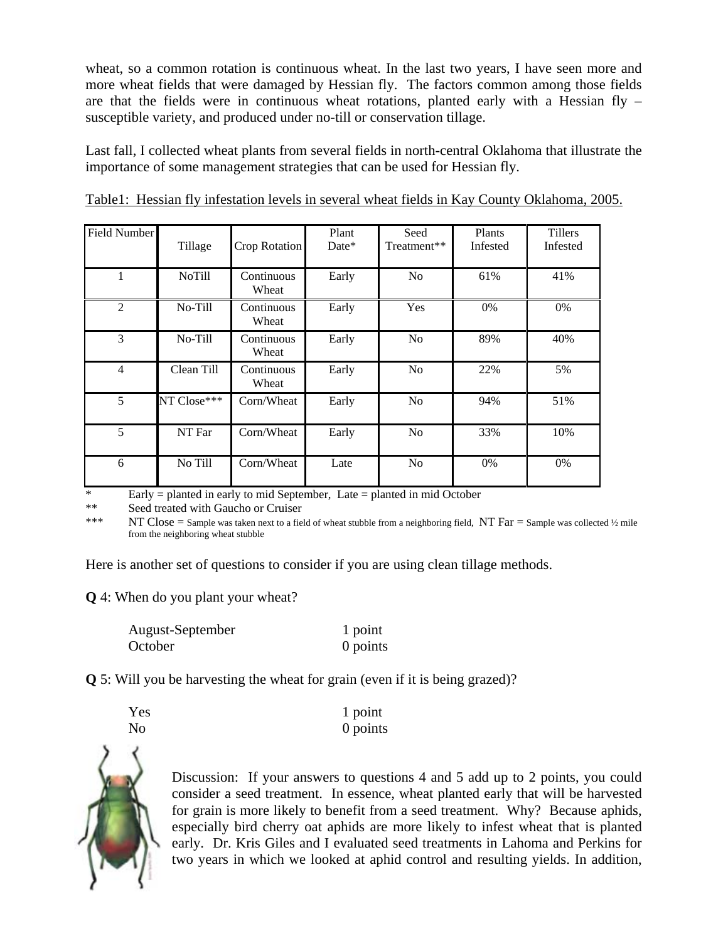wheat, so a common rotation is continuous wheat. In the last two years, I have seen more and more wheat fields that were damaged by Hessian fly. The factors common among those fields are that the fields were in continuous wheat rotations, planted early with a Hessian fly – susceptible variety, and produced under no-till or conservation tillage.

Last fall, I collected wheat plants from several fields in north-central Oklahoma that illustrate the importance of some management strategies that can be used for Hessian fly.

| <b>Field Number</b> | Tillage       | Crop Rotation       | Plant<br>Date* | Seed<br>Treatment** | Plants<br>Infested | <b>Tillers</b><br>Infested |
|---------------------|---------------|---------------------|----------------|---------------------|--------------------|----------------------------|
| 1                   | <b>NoTill</b> | Continuous<br>Wheat | Early          | N <sub>o</sub>      | 61%                | 41%                        |
| $\overline{2}$      | No-Till       | Continuous<br>Wheat | Early          | Yes                 | $0\%$              | $0\%$                      |
| 3                   | No-Till       | Continuous<br>Wheat | Early          | N <sub>o</sub>      | 89%                | 40%                        |
| $\overline{4}$      | Clean Till    | Continuous<br>Wheat | Early          | N <sub>o</sub>      | 22%                | 5%                         |
| 5                   | NT Close***   | Corn/Wheat          | Early          | N <sub>o</sub>      | 94%                | 51%                        |
| 5                   | NT Far        | Corn/Wheat          | Early          | No                  | 33%                | 10%                        |
| 6                   | No Till       | Corn/Wheat          | Late           | No                  | $0\%$              | $0\%$                      |

Table1: Hessian fly infestation levels in several wheat fields in Kay County Oklahoma, 2005.

 $Eary =$  planted in early to mid September, Late = planted in mid October

\*\* Seed treated with Gaucho or Cruiser

\*\*\* NT Close = Sample was taken next to a field of wheat stubble from a neighboring field, NT Far = Sample was collected ½ mile from the neighboring wheat stubble

Here is another set of questions to consider if you are using clean tillage methods.

**Q** 4: When do you plant your wheat?

| August-September | 1 point  |
|------------------|----------|
| October          | 0 points |

**Q** 5: Will you be harvesting the wheat for grain (even if it is being grazed)?

| Yes | 1 point  |
|-----|----------|
| No  | 0 points |





Discussion: If your answers to questions 4 and 5 add up to 2 points, you could consider a seed treatment. In essence, wheat planted early that will be harvested for grain is more likely to benefit from a seed treatment. Why? Because aphids, especially bird cherry oat aphids are more likely to infest wheat that is planted early. Dr. Kris Giles and I evaluated seed treatments in Lahoma and Perkins for two years in which we looked at aphid control and resulting yields. In addition,